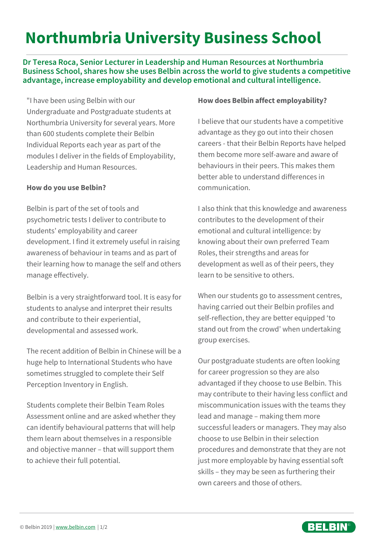# **Northumbria University Business School**

**Dr Teresa Roca, Senior Lecturer in Leadership and Human Resources at Northumbria Business School, shares how she uses Belbin across the world to give students a competitive advantage, increase employability and develop emotional and cultural intelligence.**

"I have been using Belbin with our Undergraduate and Postgraduate students at Northumbria University for several years. More than 600 students complete their Belbin Individual Reports each year as part of the modules I deliver in the fields of Employability, Leadership and Human Resources.

#### **How do you use Belbin?**

Belbin is part of the set of tools and psychometric tests I deliver to contribute to students' employability and career development. I find it extremely useful in raising awareness of behaviour in teams and as part of their learning how to manage the self and others manage effectively.

Belbin is a very straightforward tool. It is easy for students to analyse and interpret their results and contribute to their experiential, developmental and assessed work.

The recent addition of Belbin in Chinese will be a huge help to International Students who have sometimes struggled to complete their Self Perception Inventory in English.

Students complete their Belbin Team Roles Assessment online and are asked whether they can identify behavioural patterns that will help them learn about themselves in a responsible and objective manner – that will support them to achieve their full potential.

#### **How does Belbin affect employability?**

I believe that our students have a competitive advantage as they go out into their chosen careers - that their Belbin Reports have helped them become more self-aware and aware of behaviours in their peers. This makes them better able to understand differences in communication.

I also think that this knowledge and awareness contributes to the development of their emotional and cultural intelligence: by knowing about their own preferred Team Roles, their strengths and areas for development as well as of their peers, they learn to be sensitive to others.

When our students go to assessment centres, having carried out their Belbin profiles and self-reflection, they are better equipped 'to stand out from the crowd' when undertaking group exercises.

Our postgraduate students are often looking for career progression so they are also advantaged if they choose to use Belbin. This may contribute to their having less conflict and miscommunication issues with the teams they lead and manage – making them more successful leaders or managers. They may also choose to use Belbin in their selection procedures and demonstrate that they are not just more employable by having essential soft skills – they may be seen as furthering their own careers and those of others.